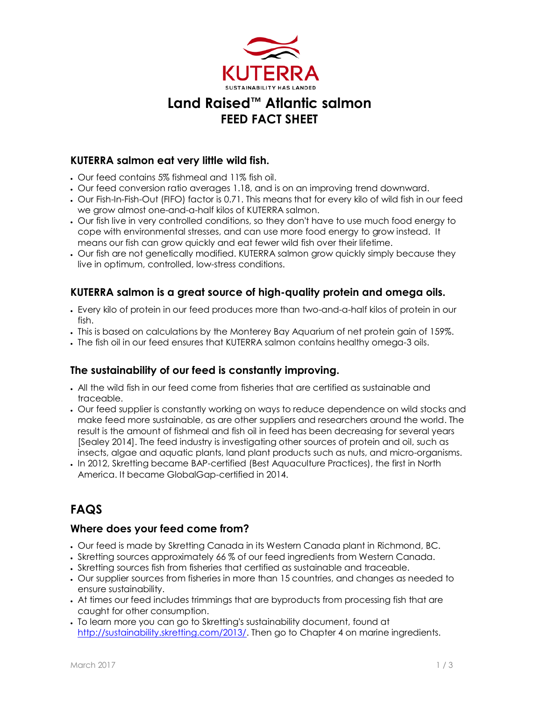

#### **KUTERRA salmon eat very little wild fish.**

- Our feed contains 5% fishmeal and 11% fish oil.
- Our feed conversion ratio averages 1.18, and is on an improving trend downward.
- Our Fish-In-Fish-Out (FIFO) factor is 0.71. This means that for every kilo of wild fish in our feed we grow almost one-and-a-half kilos of KUTERRA salmon.
- Our fish live in very controlled conditions, so they don't have to use much food energy to cope with environmental stresses, and can use more food energy to grow instead. It means our fish can grow quickly and eat fewer wild fish over their lifetime.
- Our fish are not genetically modified. KUTERRA salmon grow quickly simply because they live in optimum, controlled, low-stress conditions.

# **KUTERRA salmon is a great source of high-quality protein and omega oils.**

- Every kilo of protein in our feed produces more than two-and-a-half kilos of protein in our fish.
- This is based on calculations by the Monterey Bay Aquarium of net protein gain of 159%.
- The fish oil in our feed ensures that KUTERRA salmon contains healthy omega-3 oils.

#### **The sustainability of our feed is constantly improving.**

- All the wild fish in our feed come from fisheries that are certified as sustainable and traceable.
- Our feed supplier is constantly working on ways to reduce dependence on wild stocks and make feed more sustainable, as are other suppliers and researchers around the world. The result is the amount of fishmeal and fish oil in feed has been decreasing for several years [Sealey 2014]. The feed industry is investigating other sources of protein and oil, such as insects, algae and aquatic plants, land plant products such as nuts, and micro-organisms.
- In 2012, Skretting became BAP-certified (Best Aquaculture Practices), the first in North America. It became GlobalGap-certified in 2014.

# **FAQS**

#### **Where does your feed come from?**

- Our feed is made by Skretting Canada in its Western Canada plant in Richmond, BC.
- Skretting sources approximately 66 % of our feed ingredients from Western Canada.
- Skretting sources fish from fisheries that certified as sustainable and traceable.
- Our supplier sources from fisheries in more than 15 countries, and changes as needed to ensure sustainability.
- At times our feed includes trimmings that are byproducts from processing fish that are caught for other consumption.
- To learn more you can go to Skretting's sustainability document, found at [http://sustainability.skretting.com/2013/.](http://sustainability.skretting.com/2013/) Then go to Chapter 4 on marine ingredients.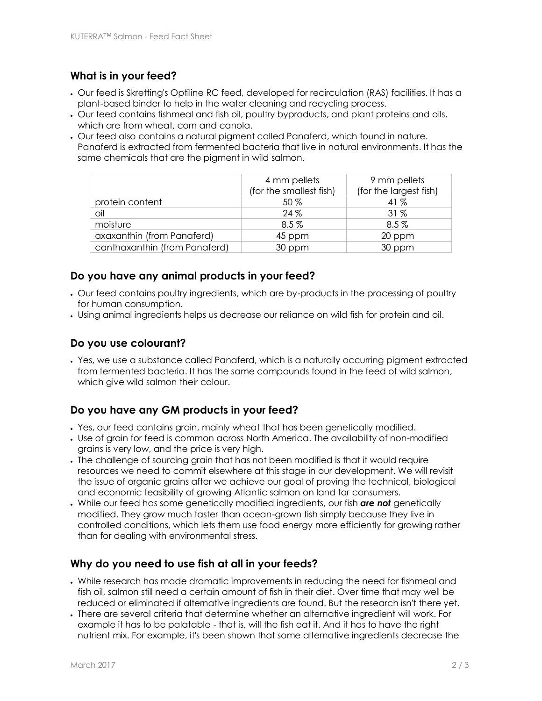# **What is in your feed?**

- Our feed is Skretting's Optiline RC feed, developed for recirculation (RAS) facilities. It has a plant-based binder to help in the water cleaning and recycling process.
- Our feed contains fishmeal and fish oil, poultry byproducts, and plant proteins and oils, which are from wheat, corn and canola.
- Our feed also contains a natural pigment called Panaferd, which found in nature. Panaferd is extracted from fermented bacteria that live in natural environments. It has the same chemicals that are the pigment in wild salmon.

|                               | 4 mm pellets<br>(for the smallest fish) | 9 mm pellets<br>(for the largest fish) |
|-------------------------------|-----------------------------------------|----------------------------------------|
| protein content               | $50\%$                                  | 41 %                                   |
| oil                           | 24 %                                    | 31%                                    |
| moisture                      | $8.5\%$                                 | $8.5\%$                                |
| axaxanthin (from Panaferd)    | 45 ppm                                  | 20 ppm                                 |
| canthaxanthin (from Panaferd) | 30 ppm                                  | 30 ppm                                 |

#### **Do you have any animal products in your feed?**

- Our feed contains poultry ingredients, which are by-products in the processing of poultry for human consumption.
- Using animal ingredients helps us decrease our reliance on wild fish for protein and oil.

#### **Do you use colourant?**

• Yes, we use a substance called Panaferd, which is a naturally occurring pigment extracted from fermented bacteria. It has the same compounds found in the feed of wild salmon, which give wild salmon their colour.

# **Do you have any GM products in your feed?**

- Yes, our feed contains grain, mainly wheat that has been genetically modified.
- Use of grain for feed is common across North America. The availability of non-modified grains is very low, and the price is very high.
- The challenge of sourcing grain that has not been modified is that it would require resources we need to commit elsewhere at this stage in our development. We will revisit the issue of organic grains after we achieve our goal of proving the technical, biological and economic feasibility of growing Atlantic salmon on land for consumers.
- While our feed has some genetically modified ingredients, our fish *are not* genetically modified. They grow much faster than ocean-grown fish simply because they live in controlled conditions, which lets them use food energy more efficiently for growing rather than for dealing with environmental stress.

#### **Why do you need to use fish at all in your feeds?**

- While research has made dramatic improvements in reducing the need for fishmeal and fish oil, salmon still need a certain amount of fish in their diet. Over time that may well be reduced or eliminated if alternative ingredients are found. But the research isn't there yet.
- There are several criteria that determine whether an alternative ingredient will work. For example it has to be palatable - that is, will the fish eat it. And it has to have the right nutrient mix. For example, it's been shown that some alternative ingredients decrease the